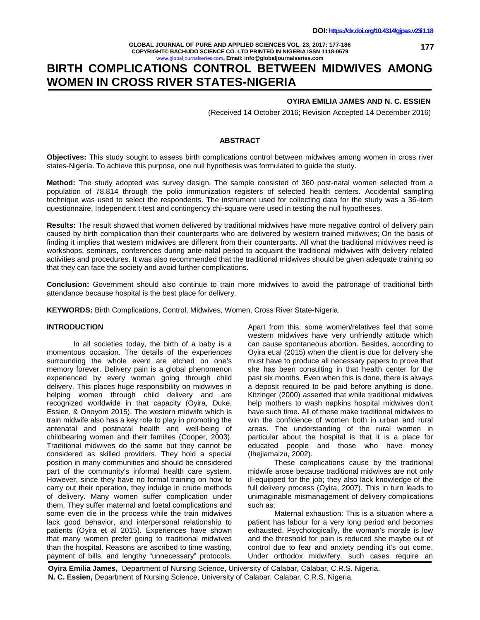#### **GLOBAL JOURNAL OF PURE AND APPLIED SCIENCES VOL. 23, 2017: 177-186 COPYRIGHT© BACHUDO SCIENCE CO. LTD PRINTED IN NIGERIA ISSN 1118-0579** www.globaljournalseries.com**, Email: info@globaljournalseries.com**

**177**

# **BIRTH COMPLICATIONS CONTROL BETWEEN MIDWIVES AMONG WOMEN IN CROSS RIVER STATES-NIGERIA**

# **OYIRA EMILIA JAMES AND N. C. ESSIEN**

(Received 14 October 2016; Revision Accepted 14 December 2016)

#### **ABSTRACT**

**Objectives:** This study sought to assess birth complications control between midwives among women in cross river states-Nigeria. To achieve this purpose, one null hypothesis was formulated to guide the study.

**Method:** The study adopted was survey design. The sample consisted of 360 post-natal women selected from a population of 78,814 through the polio immunization registers of selected health centers. Accidental sampling technique was used to select the respondents. The instrument used for collecting data for the study was a 36-item questionnaire. Independent t-test and contingency chi-square were used in testing the null hypotheses.

**Results:** The result showed that women delivered by traditional midwives have more negative control of delivery pain caused by birth complication than their counterparts who are delivered by western trained midwives; On the basis of finding it implies that western midwives are different from their counterparts. All what the traditional midwives need is workshops, seminars, conferences during ante-natal period to acquaint the traditional midwives with delivery related activities and procedures. It was also recommended that the traditional midwives should be given adequate training so that they can face the society and avoid further complications.

**Conclusion:** Government should also continue to train more midwives to avoid the patronage of traditional birth attendance because hospital is the best place for delivery.

**KEYWORDS:** Birth Complications, Control, Midwives, Women, Cross River State-Nigeria.

# **INTRODUCTION**

In all societies today, the birth of a baby is a momentous occasion. The details of the experiences surrounding the whole event are etched on one's memory forever. Delivery pain is a global phenomenon experienced by every woman going through child delivery. This places huge responsibility on midwives in helping women through child delivery and are recognized worldwide in that capacity (Oyira, Duke, Essien, & Onoyom 2015). The western midwife which is train midwife also has a key role to play in promoting the antenatal and postnatal health and well-being of childbearing women and their families (Cooper, 2003). Traditional midwives do the same but they cannot be considered as skilled providers. They hold a special position in many communities and should be considered part of the community's informal health care system. However, since they have no formal training on how to carry out their operation, they indulge in crude methods of delivery. Many women suffer complication under them. They suffer maternal and foetal complications and some even die in the process while the train midwives lack good behavior, and interpersonal relationship to patients (Oyira et al 2015). Experiences have shown that many women prefer going to traditional midwives than the hospital. Reasons are ascribed to time wasting, payment of bills, and lengthy "unnecessary" protocols.

Apart from this, some women/relatives feel that some western midwives have very unfriendly attitude which can cause spontaneous abortion. Besides, according to Oyira et.al (2015) when the client is due for delivery she must have to produce all necessary papers to prove that she has been consulting in that health center for the past six months. Even when this is done, there is always a deposit required to be paid before anything is done. Kitzinger (2000) asserted that while traditional midwives help mothers to wash napkins hospital midwives don't have such time. All of these make traditional midwives to win the confidence of women both in urban and rural areas. The understanding of the rural women in particular about the hospital is that it is a place for educated people and those who have money (Ihejiamaizu, 2002).

These complications cause by the traditional midwife arose because traditional midwives are not only ill-equipped for the job; they also lack knowledge of the full delivery process (Oyira, 2007). This in turn leads to unimaginable mismanagement of delivery complications such as;

Maternal exhaustion: This is a situation where a patient has labour for a very long period and becomes exhausted. Psychologically, the woman's morale is low and the threshold for pain is reduced she maybe out of control due to fear and anxiety pending it's out come. Under orthodox midwifery, such cases require an

**Oyira Emilia James,** Department of Nursing Science, University of Calabar, Calabar, C.R.S. Nigeria. **N. C. Essien,** Department of Nursing Science, University of Calabar, Calabar, C.R.S. Nigeria.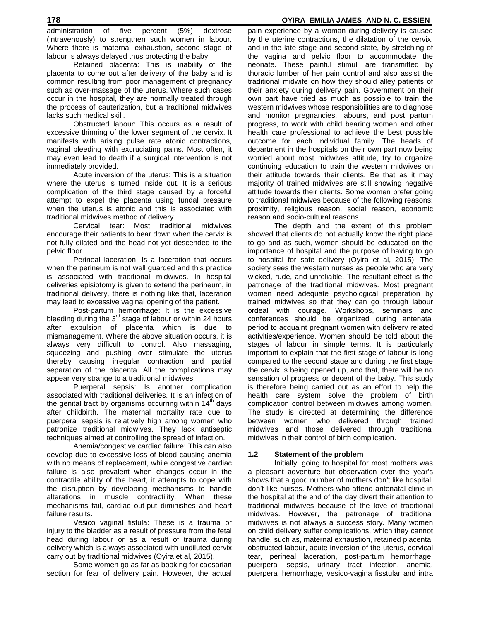**178 OYIRA EMILIA JAMES AND N. C. ESSIEN**

administration of five percent (5%) dextrose (intravenously) to strengthen such women in labour. Where there is maternal exhaustion, second stage of labour is always delayed thus protecting the baby.

Retained placenta: This is inability of the placenta to come out after delivery of the baby and is common resulting from poor management of pregnancy such as over-massage of the uterus. Where such cases occur in the hospital, they are normally treated through the process of cauterization, but a traditional midwives lacks such medical skill.

Obstructed labour: This occurs as a result of excessive thinning of the lower segment of the cervix. It manifests with arising pulse rate atonic contractions, vaginal bleeding with excruciating pains. Most often, it may even lead to death if a surgical intervention is not immediately provided.

Acute inversion of the uterus: This is a situation where the uterus is turned inside out. It is a serious complication of the third stage caused by a forceful attempt to expel the placenta using fundal pressure when the uterus is atonic and this is associated with traditional midwives method of delivery.

Cervical tear: Most traditional midwives encourage their patients to bear down when the cervix is not fully dilated and the head not yet descended to the pelvic floor.

Perineal laceration: Is a laceration that occurs when the perineum is not well guarded and this practice is associated with traditional midwives. In hospital deliveries episiotomy is given to extend the perineum, in traditional delivery, there is nothing like that, laceration may lead to excessive vaginal opening of the patient.

Post-partum hemorrhage: It is the excessive bleeding during the  $3<sup>rd</sup>$  stage of labour or within 24 hours after expulsion of placenta which is due to mismanagement. Where the above situation occurs, it is always very difficult to control. Also massaging, squeezing and pushing over stimulate the uterus thereby causing irregular contraction and partial separation of the placenta. All the complications may appear very strange to a traditional midwives.

Puerperal sepsis: Is another complication associated with traditional deliveries. It is an infection of the genital tract by organisms occurring within  $14<sup>th</sup>$  days after childbirth. The maternal mortality rate due to puerperal sepsis is relatively high among women who patronize traditional midwives. They lack antiseptic techniques aimed at controlling the spread of infection.

Anemia/congestive cardiac failure: This can also develop due to excessive loss of blood causing anemia with no means of replacement, while congestive cardiac failure is also prevalent when changes occur in the contractile ability of the heart, it attempts to cope with the disruption by developing mechanisms to handle alterations in muscle contractility. When these mechanisms fail, cardiac out-put diminishes and heart failure results.

Vesico vaginal fistula: These is a trauma or injury to the bladder as a result of pressure from the fetal head during labour or as a result of trauma during delivery which is always associated with undiluted cervix carry out by traditional midwives (Oyira et al, 2015).

Some women go as far as booking for caesarian section for fear of delivery pain. However, the actual

pain experience by a woman during delivery is caused by the uterine contractions, the dilatation of the cervix, and in the late stage and second state, by stretching of the vagina and pelvic floor to accommodate the neonate. These painful stimuli are transmitted by thoracic lumber of her pain control and also assist the traditional midwife on how they should alley patients of their anxiety during delivery pain. Government on their own part have tried as much as possible to train the western midwives whose responsibilities are to diagnose and monitor pregnancies, labours, and post partum progress, to work with child bearing women and other health care professional to achieve the best possible outcome for each individual family. The heads of department in the hospitals on their own part now being worried about most midwives attitude, try to organize continuing education to train the western midwives on their attitude towards their clients. Be that as it may majority of trained midwives are still showing negative attitude towards their clients. Some women prefer going to traditional midwives because of the following reasons: proximity, religious reason, social reason, economic reason and socio-cultural reasons.

The depth and the extent of this problem showed that clients do not actually know the right place to go and as such, women should be educated on the importance of hospital and the purpose of having to go to hospital for safe delivery (Oyira et al, 2015). The society sees the western nurses as people who are very wicked, rude, and unreliable. The resultant effect is the patronage of the traditional midwives. Most pregnant women need adequate psychological preparation by trained midwives so that they can go through labour ordeal with courage. Workshops, seminars and conferences should be organized during antenatal period to acquaint pregnant women with delivery related activities/experience. Women should be told about the stages of labour in simple terms. It is particularly important to explain that the first stage of labour is long compared to the second stage and during the first stage the cervix is being opened up, and that, there will be no sensation of progress or decent of the baby. This study is therefore being carried out as an effort to help the health care system solve the problem of birth complication control between midwives among women. The study is directed at determining the difference between women who delivered through trained midwives and those delivered through traditional midwives in their control of birth complication.

# **Statement of the problem**

Initially, going to hospital for most mothers was a pleasant adventure but observation over the year's shows that a good number of mothers don't like hospital, don't like nurses. Mothers who attend antenatal clinic in the hospital at the end of the day divert their attention to traditional midwives because of the love of traditional midwives. However, the patronage of traditional midwives is not always a success story. Many women on child delivery suffer complications, which they cannot handle, such as, maternal exhaustion, retained placenta, obstructed labour, acute inversion of the uterus, cervical tear, perineal laceration, post-partum hemorrhage, puerperal sepsis, urinary tract infection, anemia, puerperal hemorrhage, vesico-vagina fisstular and intra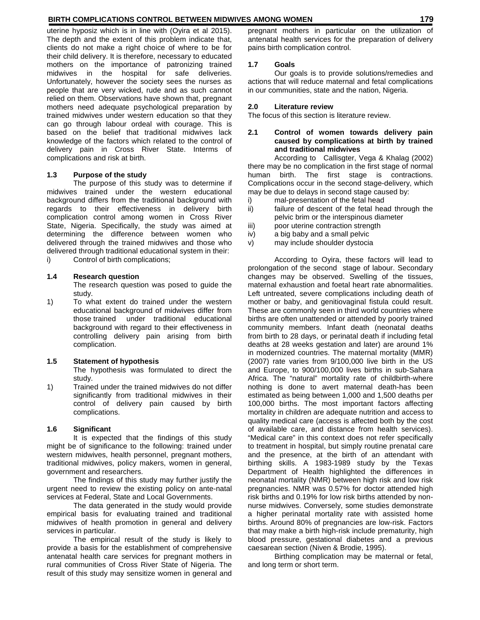# **BIRTH COMPLICATIONS CONTROL BETWEEN MIDWIVES AMONG WOMEN 179**

uterine hyposiz which is in line with (Oyira et al 2015). The depth and the extent of this problem indicate that, clients do not make a right choice of where to be for their child delivery. It is therefore, necessary to educated<br>mothers on the importance of patronizing trained 1.7 mothers on the importance of patronizing trained midwives in the hospital for safe deliveries. Unfortunately, however the society sees the nurses as people that are very wicked, rude and as such cannot relied on them. Observations have shown that, pregnant mothers need adequate psychological preparation by 2.0 trained midwives under western education so that they can go through labour ordeal with courage. This is based on the belief that traditional midwives lack 2.1 knowledge of the factors which related to the control of delivery pain in Cross River State. Interms of complications and risk at birth.

#### **1.3 Purpose of the study**

The purpose of this study was to determine if midwives trained under the western educational background differs from the traditional background with regards to their effectiveness in delivery birth complication control among women in Cross River State, Nigeria. Specifically, the study was aimed at iii) determining the difference between women who iv) delivered through the trained midwives and those who delivered through traditional educational system in their:

i) Control of birth complications;

# **1.4 Research question**

The research question was posed to guide the study.

1) To what extent do trained under the western educational background of midwives differ from those trained under traditional educational background with regard to their effectiveness in controlling delivery pain arising from birth complication.

#### **1.5 Statement of hypothesis**

The hypothesis was formulated to direct the study.

1) Trained under the trained midwives do not differ significantly from traditional midwives in their control of delivery pain caused by birth complications.

#### **1.6 Significant**

It is expected that the findings of this study might be of significance to the following: trained under western midwives, health personnel, pregnant mothers, traditional midwives, policy makers, women in general, government and researchers.

The findings of this study may further justify the urgent need to review the existing policy on ante-natal services at Federal, State and Local Governments.

The data generated in the study would provide empirical basis for evaluating trained and traditional midwives of health promotion in general and delivery services in particular.

The empirical result of the study is likely to provide a basis for the establishment of comprehensive antenatal health care services for pregnant mothers in rural communities of Cross River State of Nigeria. The result of this study may sensitize women in general and

pregnant mothers in particular on the utilization of antenatal health services for the preparation of delivery pains birth complication control.

# **1.7 Goals**

Our goals is to provide solutions/remedies and actions that will reduce maternal and fetal complications in our communities, state and the nation, Nigeria.

# **2.0 Literature review**

The focus of this section is literature review.

# **2.1 Control of women towards delivery pain caused by complications at birth by trained and traditional midwives**

According to Callisgter, Vega & Khalag (2002) there may be no complication in the first stage of normal human birth. The first stage is contractions. Complications occur in the second stage-delivery, which may be due to delays in second stage caused by:

- mal-presentation of the fetal head
- failure of descent of the fetal head through the pelvic brim or the interspinous diameter
- poor uterine contraction strength
- a big baby and a small pelvic
- may include shoulder dystocia

According to Oyira, these factors will lead to prolongation of the second stage of labour. Secondary changes may be observed. Swelling of the tissues, maternal exhaustion and foetal heart rate abnormalities. Left untreated, severe complications including death of mother or baby, and genitiovaginal fistula could result. These are commonly seen in third world countries where births are often unattended or attended by poorly trained community members. Infant death (neonatal deaths from birth to 28 days, or perinatal death if including fetal deaths at 28 weeks gestation and later) are around 1% in modernized countries. The maternal mortality (MMR) (2007) rate varies from 9/100,000 live birth in the US and Europe, to 900/100,000 lives births in sub-Sahara Africa. The "natural" mortality rate of childbirth-where nothing is done to avert maternal death-has been estimated as being between 1,000 and 1,500 deaths per 100,000 births. The most important factors affecting mortality in children are adequate nutrition and access to quality medical care (access is affected both by the cost of available care, and distance from health services). "Medical care" in this context does not refer specifically to treatment in hospital, but simply routine prenatal care and the presence, at the birth of an attendant with birthing skills. A 1983-1989 study by the Texas Department of Health highlighted the differences in neonatal mortality (NMR) between high risk and low risk pregnancies. NMR was 0.57% for doctor attended high risk births and 0.19% for low risk births attended by non nurse midwives. Conversely, some studies demonstrate a higher perinatal mortality rate with assisted home births. Around 80% of pregnancies are low-risk. Factors that may make a birth high-risk include prematurity, high blood pressure, gestational diabetes and a previous caesarean section (Niven & Brodie, 1995).

Birthing complication may be maternal or fetal, and long term or short term.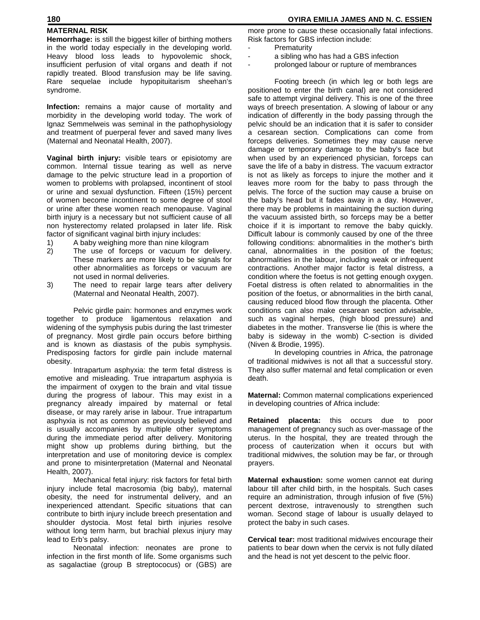# **MATERNAL RISK**

**Hemorrhage:** is still the biggest killer of birthing mothers in the world today especially in the developing world. Heavy blood loss leads to hypovolemic shock, insufficient perfusion of vital organs and death if not rapidly treated. Blood transfusion may be life saving. Rare sequelae include hypopituitarism sheehan's syndrome.

**Infection:** remains a major cause of mortality and morbidity in the developing world today. The work of Ignaz Semmelweis was seminal in the pathophysiology and treatment of puerperal fever and saved many lives (Maternal and Neonatal Health, 2007).

**Vaginal birth injury:** visible tears or episiotomy are common. Internal tissue tearing as well as nerve damage to the pelvic structure lead in a proportion of women to problems with prolapsed, incontinent of stool or urine and sexual dysfunction. Fifteen (15%) percent of women become incontinent to some degree of stool or urine after these women reach menopause. Vaginal birth injury is a necessary but not sufficient cause of all non hysterectomy related prolapsed in later life. Risk factor of significant vaginal birth injury includes:

- 1) A baby weighing more than nine kilogram<br>2) The use of forceps or vacuum for de
- The use of forceps or vacuum for delivery. These markers are more likely to be signals for other abnormalities as forceps or vacuum are not used in normal deliveries.
- 3) The need to repair large tears after delivery (Maternal and Neonatal Health, 2007).

Pelvic girdle pain: hormones and enzymes work together to produce ligamentous relaxation and widening of the symphysis pubis during the last trimester of pregnancy. Most girdle pain occurs before birthing and is known as diastasis of the pubis symphysis. Predisposing factors for girdle pain include maternal obesity.

Intrapartum asphyxia: the term fetal distress is emotive and misleading. True intrapartum asphyxia is the impairment of oxygen to the brain and vital tissue during the progress of labour. This may exist in a pregnancy already impaired by maternal or fetal disease, or may rarely arise in labour. True intrapartum asphyxia is not as common as previously believed and is usually accompanies by multiple other symptoms during the immediate period after delivery. Monitoring might show up problems during birthing, but the interpretation and use of monitoring device is complex and prone to misinterpretation (Maternal and Neonatal Health, 2007).

Mechanical fetal injury: risk factors for fetal birth injury include fetal macrosomia (big baby), maternal obesity, the need for instrumental delivery, and an inexperienced attendant. Specific situations that can contribute to birth injury include breech presentation and shoulder dystocia. Most fetal birth injuries resolve without long term harm, but brachial plexus injury may lead to Erb's palsy.

Neonatal infection: neonates are prone to infection in the first month of life. Some organisms such as sagalactiae (group B streptococus) or (GBS) are

- **Prematurity**
- a sibling who has had a GBS infection
- prolonged labour or rupture of membrances

Footing breech (in which leg or both legs are positioned to enter the birth canal) are not considered safe to attempt virginal delivery. This is one of the three ways of breech presentation. A slowing of labour or any indication of differently in the body passing through the pelvic should be an indication that it is safer to consider a cesarean section. Complications can come from forceps deliveries. Sometimes they may cause nerve damage or temporary damage to the baby's face but when used by an experienced physician, forceps can save the life of a baby in distress. The vacuum extractor is not as likely as forceps to injure the mother and it leaves more room for the baby to pass through the pelvis. The force of the suction may cause a bruise on the baby's head but it fades away in a day. However, there may be problems in maintaining the suction during the vacuum assisted birth, so forceps may be a better choice if it is important to remove the baby quickly. Difficult labour is commonly caused by one of the three following conditions: abnormalities in the mother's birth canal, abnormalities in the position of the foetus; abnormalities in the labour, including weak or infrequent contractions. Another major factor is fetal distress, a condition where the foetus is not getting enough oxygen. Foetal distress is often related to abnormalities in the position of the foetus, or abnormalities in the birth canal, causing reduced blood flow through the placenta. Other conditions can also make cesarean section advisable, such as vaginal herpes, (high blood pressure) and diabetes in the mother. Transverse lie (this is where the baby is sideway in the womb) C-section is divided (Niven & Brodie, 1995).

In developing countries in Africa, the patronage of traditional midwives is not all that a successful story. They also suffer maternal and fetal complication or even death.

**Maternal:** Common maternal complications experienced in developing countries of Africa include:

**Retained placenta:** this occurs due to poor management of pregnancy such as over-massage of the uterus. In the hospital, they are treated through the process of cauterization when it occurs but with traditional midwives, the solution may be far, or through prayers.

**Maternal exhaustion:** some women cannot eat during labour till after child birth, in the hospitals. Such cases require an administration, through infusion of five (5%) percent dextrose, intravenously to strengthen such woman. Second stage of labour is usually delayed to protect the baby in such cases.

**Cervical tear:** most traditional midwives encourage their patients to bear down when the cervix is not fully dilated and the head is not yet descent to the pelvic floor.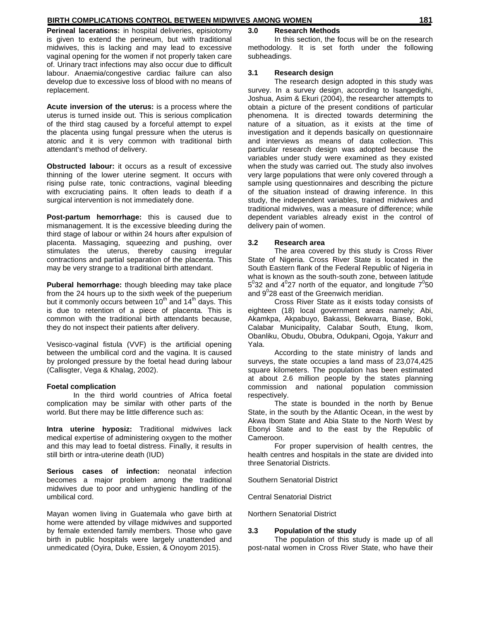#### **BIRTH COMPLICATIONS CONTROL BETWEEN MIDWIVES AMONG WOMEN 181**

**Perineal lacerations:** in hospital deliveries, episiotomy 3.0 is given to extend the perineum, but with traditional midwives, this is lacking and may lead to excessive vaginal opening for the women if not properly taken care of. Urinary tract infections may also occur due to difficult labour. Anaemia/congestive cardiac failure can also 3.1 develop due to excessive loss of blood with no means of replacement.

**Acute inversion of the uterus:** is a process where the uterus is turned inside out. This is serious complication of the third stag caused by a forceful attempt to expel the placenta using fungal pressure when the uterus is atonic and it is very common with traditional birth attendant's method of delivery.

**Obstructed labour:** it occurs as a result of excessive thinning of the lower uterine segment. It occurs with rising pulse rate, tonic contractions, vaginal bleeding with excruciating pains. It often leads to death if a surgical intervention is not immediately done.

**Post-partum hemorrhage:** this is caused due to mismanagement. It is the excessive bleeding during the third stage of labour or within 24 hours after expulsion of placenta. Massaging, squeezing and pushing, over 3.2 stimulates the uterus, thereby causing irregular contractions and partial separation of the placenta. This may be very strange to a traditional birth attendant.

**Puberal hemorrhage:** though bleeding may take place from the 24 hours up to the sixth week of the pueperium but it commonly occurs between  $10^{th}$  and  $14^{th}$  days. This is due to retention of a piece of placenta. This is common with the traditional birth attendants because, they do not inspect their patients after delivery.

Vesisco-vaginal fistula (VVF) is the artificial opening between the umbilical cord and the vagina. It is caused by prolonged pressure by the foetal head during labour (Callisgter, Vega & Khalag, 2002).

# **Foetal complication**

In the third world countries of Africa foetal complication may be similar with other parts of the world. But there may be little difference such as:

**Intra uterine hyposiz:** Traditional midwives lack medical expertise of administering oxygen to the mother and this may lead to foetal distress. Finally, it results in still birth or intra-uterine death (IUD)

**Serious cases of infection:** neonatal infection becomes a major problem among the traditional midwives due to poor and unhygienic handling of the umbilical cord.

Mayan women living in Guatemala who gave birth at home were attended by village midwives and supported by female extended family members. Those who gave 3.3 birth in public hospitals were largely unattended and unmedicated (Oyira, Duke, Essien, & Onoyom 2015).

# **3.0 Research Methods**

In this section, the focus will be on the research methodology. It is set forth under the following subheadings.

# **3.1 Research design**

The research design adopted in this study was survey. In a survey design, according to Isangedighi, Joshua, Asim & Ekuri (2004), the researcher attempts to obtain a picture of the present conditions of particular phenomena. It is directed towards determining the nature of a situation, as it exists at the time of investigation and it depends basically on questionnaire and interviews as means of data collection. This particular research design was adopted because the variables under study were examined as they existed when the study was carried out. The study also involves very large populations that were only covered through a sample using questionnaires and describing the picture of the situation instead of drawing inference. In this study, the independent variables, trained midwives and traditional midwives, was a measure of difference; while dependent variables already exist in the control of delivery pain of women.

#### **3.2 Research area**

The area covered by this study is Cross River State of Nigeria. Cross River State is located in the South Eastern flank of the Federal Republic of Nigeria in what is known as the south-south zone, between latitude 5 $^0$ 32 and 4 $^0$ 27 north of the equator, and longitude 7 $^0$ 50 and  $9^0$ 28 east of the Greenwich meridian.

Cross River State as it exists today consists of eighteen (18) local government areas namely; Abi, Akamkpa, Akpabuyo, Bakassi, Bekwarra, Biase, Boki, Calabar Municipality, Calabar South, Etung, Ikom, Obanliku, Obudu, Obubra, Odukpani, Ogoja, Yakurr and Yala.

According to the state ministry of lands and surveys, the state occupies a land mass of 23,074,425 square kilometers. The population has been estimated at about 2.6 million people by the states planning commission and national population commission respectively.

The state is bounded in the north by Benue State, in the south by the Atlantic Ocean, in the west by Akwa Ibom State and Abia State to the North West by Ebonyi State and to the east by the Republic of Cameroon.

For proper supervision of health centres, the health centres and hospitals in the state are divided into three Senatorial Districts.

Southern Senatorial District

Central Senatorial District

Northern Senatorial District

# **3.3 Population of the study**

The population of this study is made up of all post-natal women in Cross River State, who have their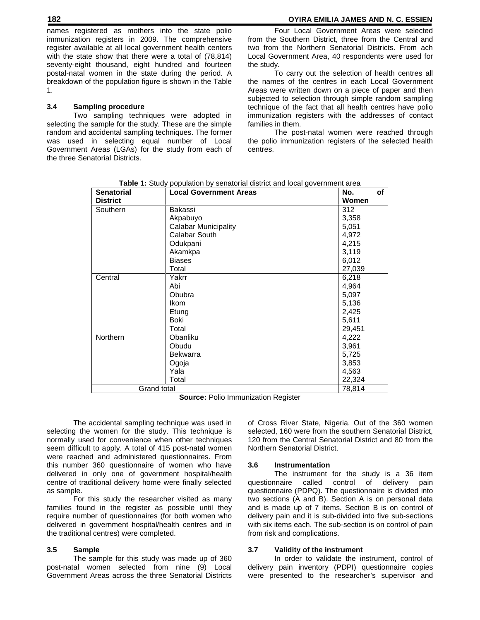names registered as mothers into the state polio immunization registers in 2009. The comprehensive register available at all local government health centers with the state show that there were a total of (78,814) seventy-eight thousand, eight hundred and fourteen postal-natal women in the state during the period. A breakdown of the population figure is shown in the Table 1.

# **3.4 Sampling procedure**

Two sampling techniques were adopted in selecting the sample for the study. These are the simple random and accidental sampling techniques. The former was used in selecting equal number of Local Government Areas (LGAs) for the study from each of the three Senatorial Districts.

Four Local Government Areas were selected from the Southern District, three from the Central and two from the Northern Senatorial Districts. From ach Local Government Area, 40 respondents were used for the study.

To carry out the selection of health centres all the names of the centres in each Local Government Areas were written down on a piece of paper and then subjected to selection through simple random sampling technique of the fact that all health centres have polio immunization registers with the addresses of contact families in them.

The post-natal women were reached through the polio immunization registers of the selected health centres.

| <b>Senatorial</b><br><b>District</b> | <b>Local Government Areas</b> | No.<br>оf<br><b>Women</b> |
|--------------------------------------|-------------------------------|---------------------------|
| Southern                             | Bakassi                       | 312                       |
|                                      | Akpabuyo                      | 3,358                     |
|                                      | <b>Calabar Municipality</b>   | 5,051                     |
|                                      | Calabar South                 | 4,972                     |
|                                      | Odukpani                      | 4,215                     |
|                                      | Akamkpa                       | 3,119                     |
|                                      | <b>Biases</b>                 | 6,012                     |
|                                      | Total                         | 27,039                    |
| Central                              | Yakrr                         | 6,218                     |
|                                      | Abi                           | 4,964                     |
|                                      | Obubra                        | 5,097                     |
|                                      | <b>Ikom</b>                   | 5,136                     |
|                                      | Etung                         | 2,425                     |
|                                      | <b>Boki</b>                   | 5,611                     |
|                                      | Total                         | 29,451                    |
| Northern                             | Obanliku                      | 4,222                     |
|                                      | Obudu                         | 3,961                     |
|                                      | <b>Bekwarra</b>               | 5,725                     |
|                                      | Ogoja                         | 3,853                     |
|                                      | Yala                          | 4,563                     |
|                                      | Total                         | 22,324                    |
| Grand total                          |                               | 78,814                    |

**Table 1:** Study population by senatorial district and local government area

**Source:** Polio Immunization Register

The accidental sampling technique was used in selecting the women for the study. This technique is normally used for convenience when other techniques seem difficult to apply. A total of 415 post-natal women were reached and administered questionnaires. From this number 360 questionnaire of women who have 3.6 delivered in only one of government hospital/health centre of traditional delivery home were finally selected as sample.

For this study the researcher visited as many families found in the register as possible until they require number of questionnaires (for both women who delivered in government hospital/health centres and in the traditional centres) were completed.

# **3.5 Sample**

The sample for this study was made up of 360 post-natal women selected from nine (9) Local Government Areas across the three Senatorial Districts

of Cross River State, Nigeria. Out of the 360 women selected, 160 were from the southern Senatorial District, 120 from the Central Senatorial District and 80 from the Northern Senatorial District.

# **3.6 Instrumentation**

The instrument for the study is a 36 item called control of delivery pain questionnaire (PDPQ). The questionnaire is divided into two sections (A and B). Section A is on personal data and is made up of 7 items. Section B is on control of delivery pain and it is sub-divided into five sub-sections with six items each. The sub-section is on control of pain from risk and complications.

#### **3.7 Validity of the instrument**

In order to validate the instrument, control of delivery pain inventory (PDPI) questionnaire copies were presented to the researcher's supervisor and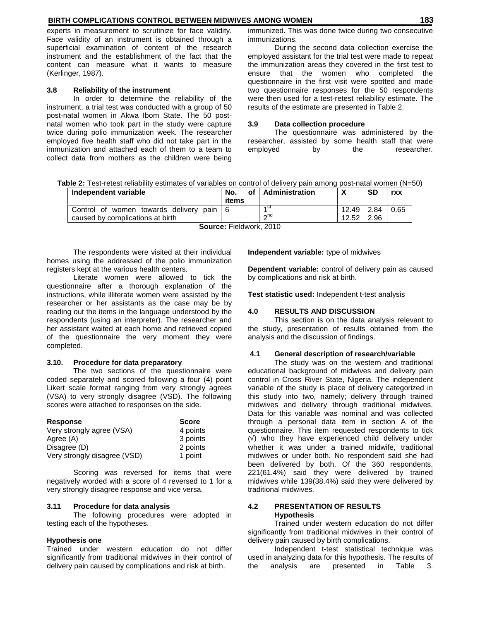# **BIRTH COMPLICATIONS CONTROL BETWEEN MIDWIVES AMONG WOMEN 183**

experts in measurement to scrutinize for face validity. Face validity of an instrument is obtained through a superficial examination of content of the research instrument and the establishment of the fact that the content can measure what it wants to measure (Kerlinger, 1987).

# **3.8 Reliability of the instrument**

In order to determine the reliability of the instrument, a trial test was conducted with a group of 50 post-natal women in Akwa Ibom State. The 50 post-<br>natal women who took part in the study were capture 3.9 natal women who took part in the study were capture twice during polio immunization week. The researcher employed five health staff who did not take part in the immunization and attached each of them to a team to collect data from mothers as the children were being

immunized. This was done twice during two consecutive immunizations.

During the second data collection exercise the employed assistant for the trial test were made to repeat the immunization areas they covered in the first test to ensure that the women who completed the questionnaire in the first visit were spotted and made two questionnaire responses for the 50 respondents were then used for a test-retest reliability estimate. The results of the estimate are presented in Table 2.

#### **3.9 Data collection procedure**

The questionnaire was administered by the researcher, assisted by some health staff that were employed by the researcher.

**Table 2:** Test-retest reliability estimates of variables on control of delivery pain among post-natal women (N=50)

| Independent variable                                                       | No.<br>оf<br>items | Administration    |                | SD           | rxx  |
|----------------------------------------------------------------------------|--------------------|-------------------|----------------|--------------|------|
| Control of women towards delivery pain<br>caused by complications at birth |                    | ⊿ S1<br>$\sim$ nd | 12.49<br>12.52 | 2.84<br>2.96 | 0.65 |

**Source:** Fieldwork, 2010

The respondents were visited at their individual homes using the addressed of the polio immunization registers kept at the various health centers.

Literate women were allowed to tick the questionnaire after a thorough explanation of the instructions, while illiterate women were assisted by the researcher or her assistants as the case may be by reading out the items in the language understood by the 4.0 respondents (using an interpreter). The researcher and her assistant waited at each home and retrieved copied of the questionnaire the very moment they were completed.

#### **3.10. Procedure for data preparatory**

The two sections of the questionnaire were coded separately and scored following a four (4) point Likert scale format ranging from very strongly agrees (VSA) to very strongly disagree (VSD). The following scores were attached to responses on the side.

| Response                     | <b>Score</b> |  |  |
|------------------------------|--------------|--|--|
| Very strongly agree (VSA)    | 4 points     |  |  |
| Agree (A)                    | 3 points     |  |  |
| Disagree (D)                 | 2 points     |  |  |
| Very strongly disagree (VSD) | 1 point      |  |  |

Scoring was reversed for items that were negatively worded with a score of 4 reversed to 1 for a very strongly disagree response and vice versa.

# **3.11 Procedure for data analysis**

The following procedures were adopted in testing each of the hypotheses.

# **Hypothesis one**

Trained under western education do not differ significantly from traditional midwives in their control of delivery pain caused by complications and risk at birth.

#### **Independent variable:** type of midwives

**Dependent variable:** control of delivery pain as caused by complications and risk at birth.

**Test statistic used:** Independent t-test analysis

# **4.0 RESULTS AND DISCUSSION**

This section is on the data analysis relevant to the study, presentation of results obtained from the analysis and the discussion of findings.

# **4.1 General description of research/variable**

The study was on the western and traditional educational background of midwives and delivery pain control in Cross River State, Nigeria. The independent variable of the study is place of delivery categorized in this study into two, namely; delivery through trained midwives and delivery through traditional midwives. Data for this variable was nominal and was collected through a personal data item in section A of the questionnaire. This item requested respondents to tick (√) who they have experienced child delivery under whether it was under a trained midwife, traditional midwives or under both. No respondent said she had been delivered by both. Of the 360 respondents, 221(61.4%) said they were delivered by trained midwives while 139(38.4%) said they were delivered by traditional midwives.

# **4.2 PRESENTATION OF RESULTS Hypothesis**

Trained under western education do not differ significantly from traditional midwives in their control of delivery pain caused by birth complications.

Independent t-test statistical technique was used in analyzing data for this hypothesis. The results of the analysis are presented in Table 3.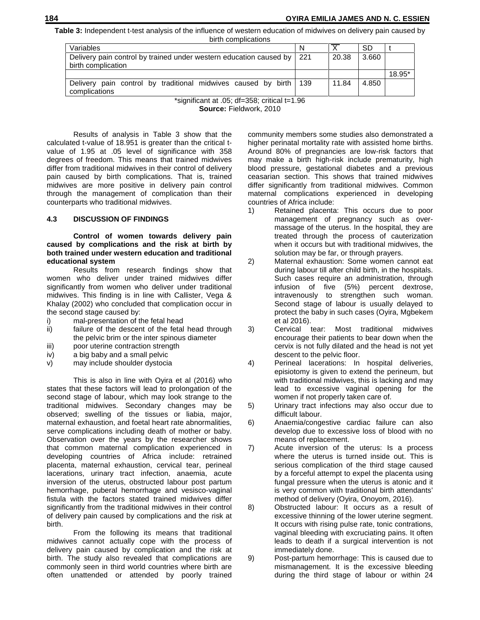**Table 3:** Independent t-test analysis of the influence of western education of midwives on delivery pain caused by birth complications

| Variables                                                                          | N |       | SD    |        |
|------------------------------------------------------------------------------------|---|-------|-------|--------|
| Delivery pain control by trained under western education caused by   221           |   | 20.38 | 3.660 |        |
| birth complication                                                                 |   |       |       |        |
|                                                                                    |   |       |       | 18.95* |
| Delivery pain control by traditional midwives caused by birth 139<br>complications |   | 11.84 | 4.850 |        |

\*significant at .05; df=358; critical t=1.96 **Source:** Fieldwork, 2010

Results of analysis in Table 3 show that the calculated t-value of 18.951 is greater than the critical t value of 1.95 at .05 level of significance with 358 degrees of freedom. This means that trained midwives differ from traditional midwives in their control of delivery pain caused by birth complications. That is, trained midwives are more positive in delivery pain control through the management of complication than their counterparts who traditional midwives.

#### **4.3 DISCUSSION OF FINDINGS**

**Control of women towards delivery pain caused by complications and the risk at birth by both trained under western education and traditional educational system**

Results from research findings show that women who deliver under trained midwives differ significantly from women who deliver under traditional midwives. This finding is in line with Callister, Vega & Khalay (2002) who concluded that complication occur in the second stage caused by:

- i) mal-presentation of the fetal head
- ii) failure of the descent of the fetal head through the pelvic brim or the inter spinous diameter
- iii) poor uterine contraction strength
- iv) a big baby and a small pelvic
- v) may include shoulder dystocia

This is also in line with Oyira et al (2016) who states that these factors will lead to prolongation of the second stage of labour, which may look strange to the traditional midwives. Secondary changes may be observed; swelling of the tissues or liabia, major, maternal exhaustion, and foetal heart rate abnormalities, 6) serve complications including death of mother or baby. Observation over the years by the researcher shows that common maternal complication experienced in developing countries of Africa include: retrained placenta, maternal exhaustion, cervical tear, perineal lacerations, urinary tract infection, anaemia, acute inversion of the uterus, obstructed labour post partum hemorrhage, puberal hemorrhage and vesisco-vaginal fistula with the factors stated trained midwives differ significantly from the traditional midwives in their control of delivery pain caused by complications and the risk at birth.

From the following its means that traditional midwives cannot actually cope with the process of delivery pain caused by complication and the risk at birth. The study also revealed that complications are 9) commonly seen in third world countries where birth are often unattended or attended by poorly trained

community members some studies also demonstrated a higher perinatal mortality rate with assisted home births. Around 80% of pregnancies are low-risk factors that may make a birth high-risk include prematurity, high blood pressure, gestational diabetes and a previous ceasarian section. This shows that trained midwives differ significantly from traditional midwives. Common maternal complications experienced in developing countries of Africa include:

- 1) Retained placenta: This occurs due to poor management of pregnancy such as over massage of the uterus. In the hospital, they are treated through the process of cauterization when it occurs but with traditional midwives, the solution may be far, or through prayers.
- 2) Maternal exhaustion: Some women cannot eat during labour till after child birth, in the hospitals. Such cases require an administration, through infusion of five (5%) percent dextrose, intravenously to strengthen such woman. Second stage of labour is usually delayed to protect the baby in such cases (Oyira, Mgbekem et al 2016).
- 3) Cervical tear: Most traditional midwives encourage their patients to bear down when the cervix is not fully dilated and the head is not yet descent to the pelvic floor.
- 4) Perineal lacerations: In hospital deliveries, episiotomy is given to extend the perineum, but with traditional midwives, this is lacking and may lead to excessive vaginal opening for the women if not properly taken care of.
- Urinary tract infections may also occur due to difficult labour.
- 6) Anaemia/congestive cardiac failure can also develop due to excessive loss of blood with no means of replacement.
- Acute inversion of the uterus: Is a process where the uterus is turned inside out. This is serious complication of the third stage caused by a forceful attempt to expel the placenta using fungal pressure when the uterus is atonic and it is very common with traditional birth attendants' method of delivery (Oyira, Onoyom, 2016).
- 8) Obstructed labour: It occurs as a result of excessive thinning of the lower uterine segment. It occurs with rising pulse rate, tonic contrations, vaginal bleeding with excruciating pains. It often leads to death if a surgical intervention is not immediately done.
- Post-partum hemorrhage: This is caused due to mismanagement. It is the excessive bleeding during the third stage of labour or within 24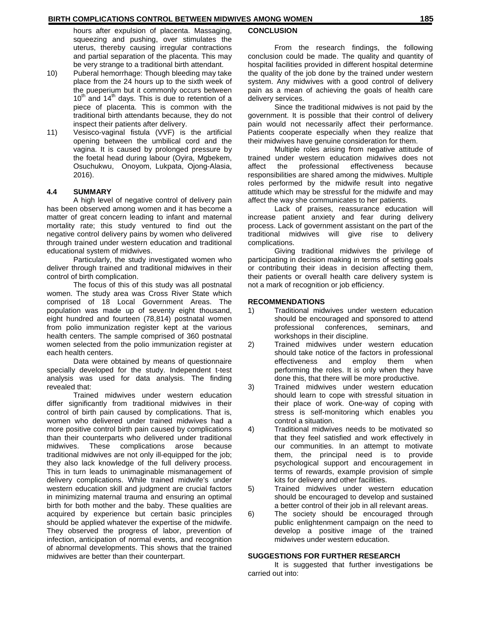hours after expulsion of placenta. Massaging, squeezing and pushing, over stimulates the uterus, thereby causing irregular contractions and partial separation of the placenta. This may be very strange to a traditional birth attendant.

- 10) Puberal hemorrhage: Though bleeding may take place from the 24 hours up to the sixth week of the pueperium but it commonly occurs between  $10^{th}$  and  $14^{th}$  days. This is due to retention of a piece of placenta. This is common with the traditional birth attendants because, they do not inspect their patients after delivery.
- 11) Vesisco-vaginal fistula (VVF) is the artificial opening between the umbilical cord and the vagina. It is caused by prolonged pressure by the foetal head during labour (Oyira, Mgbekem, Osuchukwu, Onoyom, Lukpata, Ojong-Alasia, 2016).

# **4.4 SUMMARY**

A high level of negative control of delivery pain has been observed among women and it has become a matter of great concern leading to infant and maternal mortality rate; this study ventured to find out the negative control delivery pains by women who delivered through trained under western education and traditional educational system of midwives.

Particularly, the study investigated women who deliver through trained and traditional midwives in their control of birth complication.

The focus of this of this study was all postnatal women. The study area was Cross River State which comprised of 18 Local Government Areas. The population was made up of seventy eight thousand, eight hundred and fourteen (78,814) postnatal women from polio immunization register kept at the various health centers. The sample comprised of 360 postnatal women selected from the polio immunization register at each health centers.

Data were obtained by means of questionnaire specially developed for the study. Independent t-test analysis was used for data analysis. The finding revealed that:

Trained midwives under western education differ significantly from traditional midwives in their control of birth pain caused by complications. That is, women who delivered under trained midwives had a more positive control birth pain caused by complications 4) than their counterparts who delivered under traditional midwives. These complications arose because traditional midwives are not only ill-equipped for the job; they also lack knowledge of the full delivery process. This in turn leads to unimaginable mismanagement of delivery complications. While trained midwife's under western education skill and judgment are crucial factors 5) in minimizing maternal trauma and ensuring an optimal birth for both mother and the baby. These qualities are acquired by experience but certain basic principles should be applied whatever the expertise of the midwife. They observed the progress of labor, prevention of infection, anticipation of normal events, and recognition of abnormal developments. This shows that the trained midwives are better than their counterpart.

# **CONCLUSION**

From the research findings, the following conclusion could be made. The quality and quantity of hospital facilities provided in different hospital determine the quality of the job done by the trained under western system. Any midwives with a good control of delivery pain as a mean of achieving the goals of health care delivery services.

Since the traditional midwives is not paid by the government. It is possible that their control of delivery pain would not necessarily affect their performance. Patients cooperate especially when they realize that their midwives have genuine consideration for them.

Multiple roles arising from negative attitude of trained under western education midwives does not the professional effectiveness because responsibilities are shared among the midwives. Multiple roles performed by the midwife result into negative attitude which may be stressful for the midwife and may affect the way she communicates to her patients.

Lack of praises, reassurance education will increase patient anxiety and fear during delivery process. Lack of government assistant on the part of the traditional midwives will give rise to delivery complications.

Giving traditional midwives the privilege of participating in decision making in terms of setting goals or contributing their ideas in decision affecting them, their patients or overall health care delivery system is not a mark of recognition or job efficiency.

# **RECOMMENDATIONS**

- 1) Traditional midwives under western education should be encouraged and sponsored to attend professional conferences, seminars, and workshops in their discipline.
- 2) Trained midwives under western education should take notice of the factors in professional effectiveness and employ them when performing the roles. It is only when they have done this, that there will be more productive.
- 3) Trained midwives under western education should learn to cope with stressful situation in their place of work. One-way of coping with stress is self-monitoring which enables you control a situation.
- 4) Traditional midwives needs to be motivated so that they feel satisfied and work effectively in our communities. In an attempt to motivate them, the principal need is to provide psychological support and encouragement in terms of rewards, example provision of simple kits for delivery and other facilities.
- 5) Trained midwives under western education should be encouraged to develop and sustained a better control of their job in all relevant areas.
- The society should be encouraged through public enlightenment campaign on the need to develop a positive image of the trained midwives under western education.

# **SUGGESTIONS FOR FURTHER RESEARCH**

It is suggested that further investigations be carried out into: